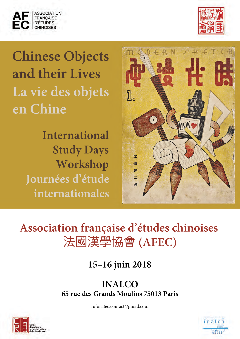



# **Chinese Objects and their Lives La vie des objets en Chine**

**International Study Days Workshop Journées d'étude internationales**



# **Association française d'études chinoises**  法國漢學協會 **(AFEC)**

**15–16 juin 2018**

**INALCO 65 rue des Grands Moulins 75013 Paris**

Info: afec.contact@gmail.com



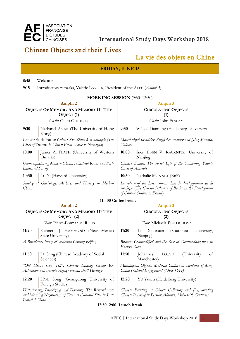

# **ASSOCIATION<br>
FRANÇAISE<br>
D'ÉTUDES International Study Days Workshop 2018**<br>
CHINOISES **International Study Days Workshop 2018**

## **Chinese Objects and their Lives**

## **La vie des objets en Chine**

| ma vie des sojets en chine                                                                                                               |                                                                       |                                                                                                                                                               |                                                        |  |
|------------------------------------------------------------------------------------------------------------------------------------------|-----------------------------------------------------------------------|---------------------------------------------------------------------------------------------------------------------------------------------------------------|--------------------------------------------------------|--|
| <b>FRIDAY, JUNE 15</b>                                                                                                                   |                                                                       |                                                                                                                                                               |                                                        |  |
| 8:45                                                                                                                                     | Welcome                                                               |                                                                                                                                                               |                                                        |  |
| 9:15                                                                                                                                     | Introductory remarks, Valérie LAVOIX, President of the AFEC (Amphi 3) |                                                                                                                                                               |                                                        |  |
| <b>MORNING SESSION</b> (9:30-12:50)                                                                                                      |                                                                       |                                                                                                                                                               |                                                        |  |
| Amphi 2                                                                                                                                  |                                                                       |                                                                                                                                                               | Amphi <sub>3</sub>                                     |  |
| <b>OBJECTS OF MEMORY AND MEMORY OF THE</b><br>OBJECT <sub>(1)</sub>                                                                      |                                                                       | <b>CIRCULATING OBJECTS</b><br>(1)                                                                                                                             |                                                        |  |
|                                                                                                                                          | Chair. Gilles GUIHEUX                                                 |                                                                                                                                                               | Chair: John FINLAY                                     |  |
| 9:30                                                                                                                                     | Nathanel AMAR (The University of Hong<br>Kong)                        | 9:30                                                                                                                                                          | WANG Lianming (Heidelberg University)                  |  |
| Les vies du dakou en Chine : d'un déchet à sa nostalgie (The<br>Lives of Dakou in China: From Waste to Nostalgia)                        |                                                                       | Materialized Identities: Kingfisher Feather and Qing Material<br>Culture                                                                                      |                                                        |  |
| 10:00                                                                                                                                    | James A. FLATH (University of Western<br>Ontario)                     | 10:00                                                                                                                                                         | Ines EBEN V. RACKNITZ (University of<br>Nanjing)       |  |
| Unmanufacturing Modern China: Industrial Ruins and Post-<br><b>Industrial Society</b>                                                    |                                                                       | Chinese Zodiac: The Social Life of the Yuanming Yuan's<br>Circle of Animals                                                                                   |                                                        |  |
| 10:30                                                                                                                                    | LU Yi (Harvard University)                                            | 10:30                                                                                                                                                         | Nathalie MONNET (BnF)                                  |  |
| Sinological Garbology: Archives and History in Modern<br>China                                                                           |                                                                       | Le rôle actif des livres chinois dans le développement de la<br>sinologie (The Crucial Influence of Books in the Development<br>of Chinese Studies in France) |                                                        |  |
| 11:00 Coffee break                                                                                                                       |                                                                       |                                                                                                                                                               |                                                        |  |
| Amphi 2                                                                                                                                  |                                                                       |                                                                                                                                                               | Amphi <sub>3</sub>                                     |  |
| <b>OBJECTS OF MEMORY AND MEMORY OF THE</b><br>OBJECT <sub>(2)</sub>                                                                      |                                                                       | <b>CIRCULATING OBJECTS</b><br>(2)                                                                                                                             |                                                        |  |
|                                                                                                                                          | Chair. Pierre-Emmanuel ROUX                                           |                                                                                                                                                               | Chair: Michaela PEJCOCHOVA                             |  |
| 11:20                                                                                                                                    | Kenneth J. HAMMOND (New Mexico<br>State University)                   | 11:20                                                                                                                                                         | (Southeast<br>University,<br>П<br>Xiaoxuan<br>Nanjing) |  |
| A Broadsheet Image of Sixteenth Century Beijing                                                                                          |                                                                       | Bronzes Commodified and the Rise of Commercialization in<br>Eastern Zhou                                                                                      |                                                        |  |
| 11:50                                                                                                                                    | LI Geng (Chinese Academy of Social<br>Sciences)                       | 11:50                                                                                                                                                         | LOTZE<br>(University<br>Johannes<br>of<br>Manchester)  |  |
| "Old House Can Tell": Chinese Lineage Group Re-<br>Activation and Female Agency around Built Heritage                                    |                                                                       | Multilingual Objects: Material Culture as Evidence of Ming<br>China's Global Engagement (1368-1644)                                                           |                                                        |  |
| 12:20                                                                                                                                    | HOU Song (Guangdong University of<br>Foreign Studies)                 | 12:20                                                                                                                                                         | YU Yusen (Heidelberg University)                       |  |
| Historicizing, Poeticizing and Dwelling: The Remembrance<br>and Meaning Negotiation of Trees as Cultural Sites in Late<br>Imperial China |                                                                       | Chinese Painting as Object: Collecting and (Re)mounting<br>Chinese Painting in Persian Albums, 15th-16th Centuries                                            |                                                        |  |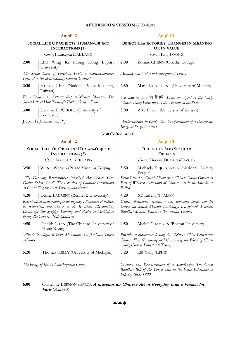#### **AFTERNOON SESSION** (2:00–6:00)

#### **SOCIAL LIFE OF OBJECTS: HUMAN-OBJECT INTERACTIONS (1)**

*Chair*: Francesca DAL LAGO

2:00 LEE Wing Ki (Hong Kong Baptist University)

*The Social Lives of Porcelain Photo as Commemorative Portrait in the 20th Century Chinese Context*

2:30 HUANG I-Fen (National Palace Museum, Taiwan)

*From Boudoir to Antique shop to Modern Museum: The Social Life of Han Ximeng's Embroidered Album*

**3:00** Suzanne E. WRIGHT (University of Tennessee)

#### **Amphi 2 Amphi 3**

**OBJECT TRAJECTORIES: CHANGES IN MEANING OR IN VALUE**

*Chair*: Ping FOONG

2:00 Bonnie CHENG (Oberlin College)

*Meaning and Value in Underground Tombs*

2:30 Maria KHAYUTINA (University of Munich)

He zun zhuan 何尊傳: *From an Agent in the Early Chinese Polity Formation to the Treasure of the State*

**3:00** ZHU Pinyan (University of Kansas)

Jiupai: *Performance and Play Avalokites*́*vara in Gold: The Transformation of a Devotional Image at Dazu Grottoes*

#### **3:30 Coffee break**

**SOCIAL LIFE OF OBJECTS : HUMAN-OBJECT INTERACTIONS (2)**

*Chair*: Marie LAUREILLARD

*"The Decaying Brushstrokes Inscribed Are Where Your Divine Spirits Rest": The Creation of Painting Inscriptions as Controlling the Past, Present, and Future*

4:20 | Cédric LAURENT (Rennes 2 University) | 4:20 | XU Lufeng (INALCO)

*Réévaluation iconographique du paysage : Peintures et poèmes de méditation aux XVe et XVIe siècles (Revaluating Landscape Iconography: Painting and Poetry of Meditation during the 15th & 16th Centuries)*

**4:50** Pedith CHAN (The Chinese University of Hong Kong)

*Visual Travelogue of Scenic Mountains: Yu Jianhua's Travel Albums*

**5:20** Thomas KELLY (University of Michigan) **5:20** LEI Yang (EPHE)

#### **Amphi 2 Amphi 3**

#### **RELIGIOUS AND SECULAR OBJECTS**

*Chair*: Vincent DURAND-DASTÈS

**3:50** WANG Wenxin (Palace Museum, Beijing) **3:50** Michaela PEJCOCHOVA (National Gallery, Prague)

> *From Ritual to Colonial Fantasies: Chinese Ritual Objects as*  Part of Western Collections of Chinese Art in the Inter-War *Period*

*Usuels, disciplinés, violents : Les couteaux portés par les bonzes du temple Shaolin (Ordinary, Disciplined, Violent: Buddhist Monks' Knives in the Shaolin Temple)*

**4:50** Michel CHAMBON (Boston University)

*Produire et consommer le sang du Christ en Chine Protestante d'aujourd'hui (Producing and Consuming the Blood of Christ among Chinese Protestants Today)*

*The Poetry of Ink in Late Imperial China Creation and Reconstruction of a Soundscape: The Great Buddhist Bell of the Yongle Era in the Local Literature of Peking, 1600-1900*

6:00 **COLIT** Olivier de BERNON (EFEO), A museum for Chinese Art of Everyday Life: a Project for Paris (*Amphi 3*)

**♠♠♠**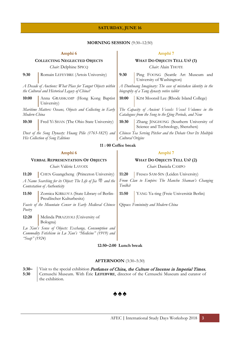### **SATURDAY, JUNE 16**

#### **MORNING SESSION** (9:30–12:50)

#### **Amphi 6 Amphi 7 COLLECTING NEGLECTED OBJECTS** *Chair*: Delphine SPICQ **WHAT DO OBJECTS TELL US? (1)** *Chair*: Alain THOTE **9:30** Romain LEFEVBRE (Artois University) **9:30** Ping FOONG (Seattle Art Museum and University of Washington) *A Decade of Auctions: What Place for Tangut Objects within the Cultural and Historical Legacy of China? A Dunhuang Imaginary: The case of mistaken identity in the biography of a Tang dynasty votive tablet* **10:00** Anna GRASSKAMP (Hong Kong Baptist University) 10:00 | KIM Moonsil Lee (Rhode Island College) *Maritime Matters: Oceans, Objects and Collecting in Early Modern China The Capacity of Ancient Vessels: Vessel Volumes in the Catalogues from the Song to the Qing Periods, and Now* **10:30** Fred Yi SHAN (The Ohio State University) **10:30** Zhang JINGHONG (Southern University of Science and Technology, Shenzhen) *Dust of the Song Dynasty: Huang Pilie (1763-1825) and His Collection of Song Editions Chinese Tea Serving Pitcher and the Debate Over Its Multiple Cultural Origins* **11 : 00 Coffee break Amphi 6 Amphi 7 VERBAL REPRESENTATION OF OBJECTS** *Chair*: Valérie LAVOIX **WHAT DO OBJECTS TELL US? (2)** *Chair*: Daniela CAMPO **11:20** CHEN Guangcheng (Princeton University) **11:20** Fresco SAM-SIN (Leiden University) *A Name Searching for its Object: The Life of Jia* 斝 *and the Contestation of Authenticity From Clan to Empire: The Manchu Shaman's Changing Toolkit* 11:50 Zornica KIRKOVA (State Library of Berlin-Preußischer Kulturbesitz) **11:50** YANG Ya-ting (Freie Universität Berlin) *Facets of the Mountain Censer in Early Medieval Chinese Poetry* Qipao: *Femininity and Modern China* 12:20 | Melinda PIRAZZOLI (University of Bologna) *Lu Xun's Sense of Objects: Exchange, Consumption and Commodity Fetishism in Lu Xun's "Medicine" (1919) and "Soap" (1924)*

### **12:50–2:00 Lunch break**

#### **AFTERNOON** (3:30–5:30)

**3:30– 5:30** Visit to the special exhibition Perfumes of China, the Culture of Incense in Imperial Times, Cernuschi Museum. With Éric **LEFEBVRE**, director of the Cernuschi Museum and curator of the exhibition.

## **♠♠♠**